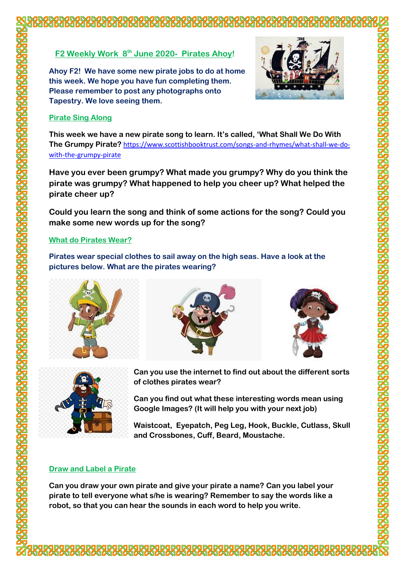# **F2 Weekly Work 8 th June 2020- Pirates Ahoy!**

**Ahoy F2! We have some new pirate jobs to do at home this week. We hope you have fun completing them. Please remember to post any photographs onto Tapestry. We love seeing them.**



#### **Pirate Sing Along**

**This week we have a new pirate song to learn. It's called, 'What Shall We Do With The Grumpy Pirate?** [https://www.scottishbooktrust.com/songs-and-rhymes/what-shall-we-do](https://www.scottishbooktrust.com/songs-and-rhymes/what-shall-we-do-with-the-grumpy-pirate)[with-the-grumpy-pirate](https://www.scottishbooktrust.com/songs-and-rhymes/what-shall-we-do-with-the-grumpy-pirate)

**Have you ever been grumpy? What made you grumpy? Why do you think the pirate was grumpy? What happened to help you cheer up? What helped the pirate cheer up?**

**Could you learn the song and think of some actions for the song? Could you make some new words up for the song?**

#### **What do Pirates Wear?**

**Pirates wear special clothes to sail away on the high seas. Have a look at the pictures below. What are the pirates wearing?**









**Can you use the internet to find out about the different sorts of clothes pirates wear?**

**Can you find out what these interesting words mean using Google Images? (It will help you with your next job)**

**Waistcoat, Eyepatch, Peg Leg, Hook, Buckle, Cutlass, Skull and Crossbones, Cuff, Beard, Moustache.**

### **Draw and Label a Pirate**

**Can you draw your own pirate and give your pirate a name? Can you label your pirate to tell everyone what s/he is wearing? Remember to say the words like a robot, so that you can hear the sounds in each word to help you write.**